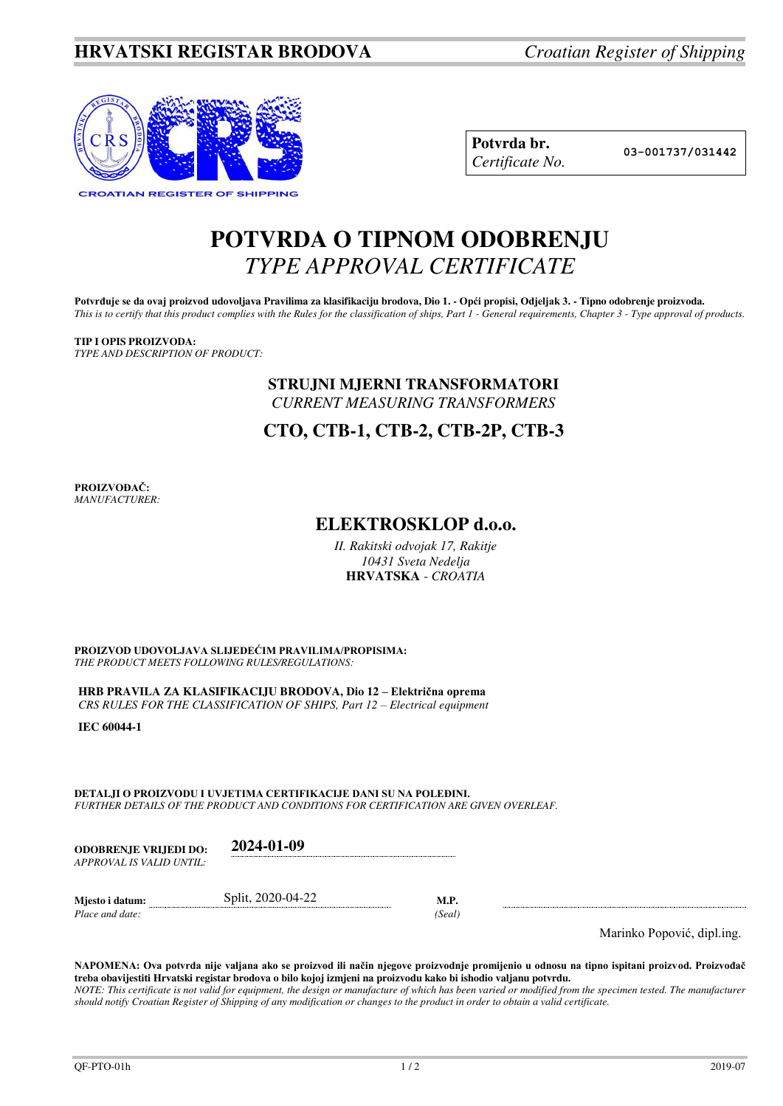

| Potvrda br.     |
|-----------------|
| Certificate No. |

**Potvrda br. 03-001737/031442**

# **POTVRDA O TIPNOM ODOBRENJU**  *TYPE APPROVAL CERTIFICATE*

Potvrđuje se da ovaj proizvod udovoljava Pravilima za klasifikaciju brodova, Dio 1. - Opći propisi, Odjeljak 3. - Tipno odobrenje proizvoda. *This is to certify that this product complies with the Rules for the classification of ships, Part 1 - General requirements, Chapter 3 - Type approval of products.* 

### **TIP I OPIS PROIZVODA:**

*TYPE AND DESCRIPTION OF PRODUCT:* 

### **STRUJNI MJERNI TRANSFORMATORI** *CURRENT MEASURING TRANSFORMERS*

**CTO, CTB-1, CTB-2, CTB-2P, CTB-3**

**PROIZVOĐAČ:** *MANUFACTURER:*

## **ELEKTROSKLOP d.o.o.**

*II. Rakitski odvojak 17, Rakitje 10431 Sveta Nedelja*  **HRVATSKA** - *CROATIA*

**PROIZVOD UDOVOLJAVA SLIJEDEĆIM PRAVILIMA/PROPISIMA:** *THE PRODUCT MEETS FOLLOWING RULES/REGULATIONS:* 

**HRB PRAVILA ZA KLASIFIKACIJU BRODOVA, Dio 12 – Električna oprema** *CRS RULES FOR THE CLASSIFICATION OF SHIPS, Part 12 – Electrical equipment* 

**IEC 60044-1** 

**DETALJI O PROIZVODU I UVJETIMA CERTIFIKACIJE DANI SU NA POLEĐINI.** *FURTHER DETAILS OF THE PRODUCT AND CONDITIONS FOR CERTIFICATION ARE GIVEN OVERLEAF.* 

| <b>ODOBRENJE VRLIEDI DO:</b> | 2024-01-09 |
|------------------------------|------------|
| APPROVAL IS VALID UNTIL:     |            |
|                              |            |

*Place and date:* 

**Mjesto i datum: Split, 2020-04-22 M.P.** *Place and date:* (*Seal*)

Marinko Popović, dipl.ing.

**NAPOMENA: Ova potvrda nije valjana ako se proizvod ili način njegove proizvodnje promijenio u odnosu na tipno ispitani proizvod. Proizvođač treba obavijestiti Hrvatski registar brodova o bilo kojoj izmjeni na proizvodu kako bi ishodio valjanu potvrdu.**  *NOTE: This certificate is not valid for equipment, the design or manufacture of which has been varied or modified from the specimen tested. The manufacturer should notify Croatian Register of Shipping of any modification or changes to the product in order to obtain a valid certificate.*